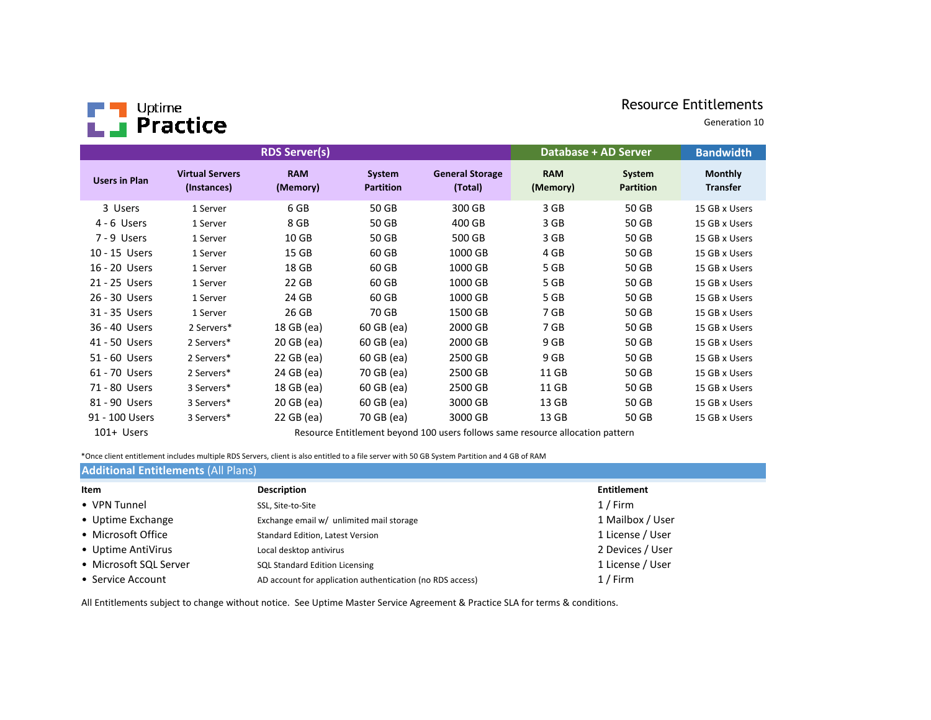# Resource Entitlements



Generation 10

| <b>RDS Server(s)</b> |                                       |                        |                            |                                                                                | <b>Database + AD Server</b> | <b>Bandwidth</b>           |                                   |
|----------------------|---------------------------------------|------------------------|----------------------------|--------------------------------------------------------------------------------|-----------------------------|----------------------------|-----------------------------------|
| <b>Users in Plan</b> | <b>Virtual Servers</b><br>(Instances) | <b>RAM</b><br>(Memory) | System<br><b>Partition</b> | <b>General Storage</b><br>(Total)                                              | <b>RAM</b><br>(Memory)      | System<br><b>Partition</b> | <b>Monthly</b><br><b>Transfer</b> |
| 3 Users              | 1 Server                              | 6 GB                   | 50 GB                      | 300 GB                                                                         | 3 GB                        | 50 GB                      | 15 GB x Users                     |
| 4 - 6 Users          | 1 Server                              | 8 GB                   | 50 GB                      | 400 GB                                                                         | 3 GB                        | 50 GB                      | 15 GB x Users                     |
| 7 - 9 Users          | 1 Server                              | 10 <sub>GB</sub>       | 50 GB                      | 500 GB                                                                         | 3 GB                        | 50 GB                      | 15 GB x Users                     |
| 10 - 15 Users        | 1 Server                              | 15 GB                  | 60 GB                      | 1000 GB                                                                        | 4 GB                        | 50 GB                      | 15 GB x Users                     |
| 16 - 20 Users        | 1 Server                              | 18 GB                  | 60 GB                      | 1000 GB                                                                        | 5 GB                        | 50 GB                      | 15 GB x Users                     |
| 21 - 25 Users        | 1 Server                              | 22 GB                  | 60 GB                      | 1000 GB                                                                        | 5 GB                        | 50 GB                      | 15 GB x Users                     |
| 26 - 30 Users        | 1 Server                              | 24 GB                  | 60 GB                      | 1000 GB                                                                        | 5 GB                        | 50 GB                      | 15 GB x Users                     |
| 31 - 35 Users        | 1 Server                              | 26 GB                  | 70 GB                      | 1500 GB                                                                        | 7 GB                        | 50 GB                      | 15 GB x Users                     |
| 36 - 40 Users        | 2 Servers*                            | 18 GB (ea)             | 60 GB (ea)                 | 2000 GB                                                                        | 7 GB                        | 50 GB                      | 15 GB x Users                     |
| 41 - 50 Users        | 2 Servers*                            | 20 GB (ea)             | 60 GB (ea)                 | 2000 GB                                                                        | 9 GB                        | 50 GB                      | 15 GB x Users                     |
| 51 - 60 Users        | 2 Servers*                            | 22 GB (ea)             | 60 GB (ea)                 | 2500 GB                                                                        | 9 GB                        | 50 GB                      | 15 GB x Users                     |
| 61 - 70 Users        | 2 Servers*                            | 24 GB (ea)             | 70 GB (ea)                 | 2500 GB                                                                        | 11 GB                       | 50 GB                      | 15 GB x Users                     |
| 71 - 80 Users        | 3 Servers*                            | 18 GB (ea)             | 60 GB (ea)                 | 2500 GB                                                                        | 11 GB                       | 50 GB                      | 15 GB x Users                     |
| 81 - 90 Users        | 3 Servers*                            | 20 GB (ea)             | 60 GB (ea)                 | 3000 GB                                                                        | 13 GB                       | 50 GB                      | 15 GB x Users                     |
| 91 - 100 Users       | 3 Servers*                            | 22 GB (ea)             | 70 GB (ea)                 | 3000 GB                                                                        | 13 GB                       | 50 GB                      | 15 GB x Users                     |
| 101+ Users           |                                       |                        |                            | Resource Entitlement beyond 100 users follows same resource allocation pattern |                             |                            |                                   |

Resource Entitlement beyond 100 users follows same resource allocation pattern

\*Once client entitlement includes multiple RDS Servers, client is also entitled to a file server with 50 GB System Partition and 4 GB of RAM

| <b>Additional Entitlements (All Plans)</b> |                                                           |                    |  |  |  |
|--------------------------------------------|-----------------------------------------------------------|--------------------|--|--|--|
| Item                                       | <b>Description</b>                                        | <b>Entitlement</b> |  |  |  |
| • VPN Tunnel                               | SSL, Site-to-Site                                         | $1/$ Firm          |  |  |  |
| • Uptime Exchange                          | Exchange email w/ unlimited mail storage                  | 1 Mailbox / User   |  |  |  |
| • Microsoft Office                         | Standard Edition, Latest Version                          | 1 License / User   |  |  |  |
| • Uptime AntiVirus                         | Local desktop antivirus                                   | 2 Devices / User   |  |  |  |
| • Microsoft SQL Server                     | <b>SQL Standard Edition Licensing</b>                     | 1 License / User   |  |  |  |
| • Service Account                          | AD account for application authentication (no RDS access) | $1/$ Firm          |  |  |  |

All Entitlements subject to change without notice. See Uptime Master Service Agreement & Practice SLA for terms & conditions.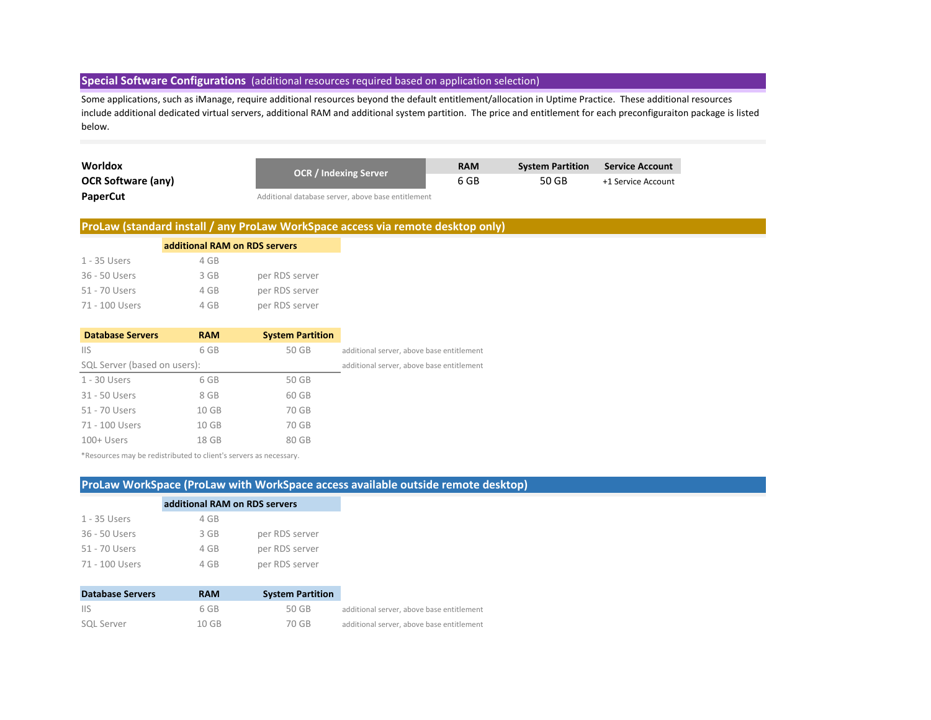### **Special Software Configurations** (additional resources required based on application selection)

Some applications, such as iManage, require additional resources beyond the default entitlement/allocation in Uptime Practice. These additional resources include additional dedicated virtual servers, additional RAM and additional system partition. The price and entitlement for each preconfiguraiton package is listed below.

| Worldox                   | <b>OCR / Indexing Server</b>                       | <b>RAM</b> | <b>System Partition</b> | Service Account    |
|---------------------------|----------------------------------------------------|------------|-------------------------|--------------------|
| <b>OCR Software (any)</b> |                                                    | 6 GB       | 50 GB                   | +1 Service Account |
| PaperCut                  | Additional database server, above base entitlement |            |                         |                    |

### **ProLaw (standard install / any ProLaw WorkSpace access via remote desktop only)**

|                | additional RAM on RDS servers |                |  |  |  |  |
|----------------|-------------------------------|----------------|--|--|--|--|
| 1 - 35 Users   | 4 GB                          |                |  |  |  |  |
| 36 - 50 Users  | 3 GB                          | per RDS server |  |  |  |  |
| 51 - 70 Users  | 4 GB                          | per RDS server |  |  |  |  |
| 71 - 100 Users | 4 GB                          | per RDS server |  |  |  |  |

| <b>Database Servers</b>      | <b>RAM</b> | <b>System Partition</b> |                                           |
|------------------------------|------------|-------------------------|-------------------------------------------|
| <b>IIS</b>                   | 6 GB       | 50 GB                   | additional server, above base entitlement |
| SQL Server (based on users): |            |                         | additional server, above base entitlement |
| 1 - 30 Users                 | 6 GB       | 50 GB                   |                                           |
| 31 - 50 Users                | 8 GB       | 60 GB                   |                                           |
| 51 - 70 Users                | 10 GB      | 70 GB                   |                                           |
| 71 - 100 Users               | 10 GB      | 70 GB                   |                                           |
| $100+$ Users                 | 18 GB      | 80 GB                   |                                           |

\*Resources may be redistributed to client's servers as necessary.

### **ProLaw WorkSpace (ProLaw with WorkSpace access available outside remote desktop)**

|                | additional RAM on RDS servers |                |  |  |  |
|----------------|-------------------------------|----------------|--|--|--|
| 1 - 35 Users   | 4 GB                          |                |  |  |  |
| 36 - 50 Users  | 3 GB                          | per RDS server |  |  |  |
| 51 - 70 Users  | 4 GB                          | per RDS server |  |  |  |
| 71 - 100 Users | 4 GB                          | per RDS server |  |  |  |

| <b>Database Servers</b> | <b>RAM</b> | <b>System Partition</b> |                                           |
|-------------------------|------------|-------------------------|-------------------------------------------|
| -lis                    | 6 GB       | 50 GB                   | additional server, above base entitlement |
| <b>SQL Server</b>       | $10$ GB    | 70 GB                   | additional server, above base entitlement |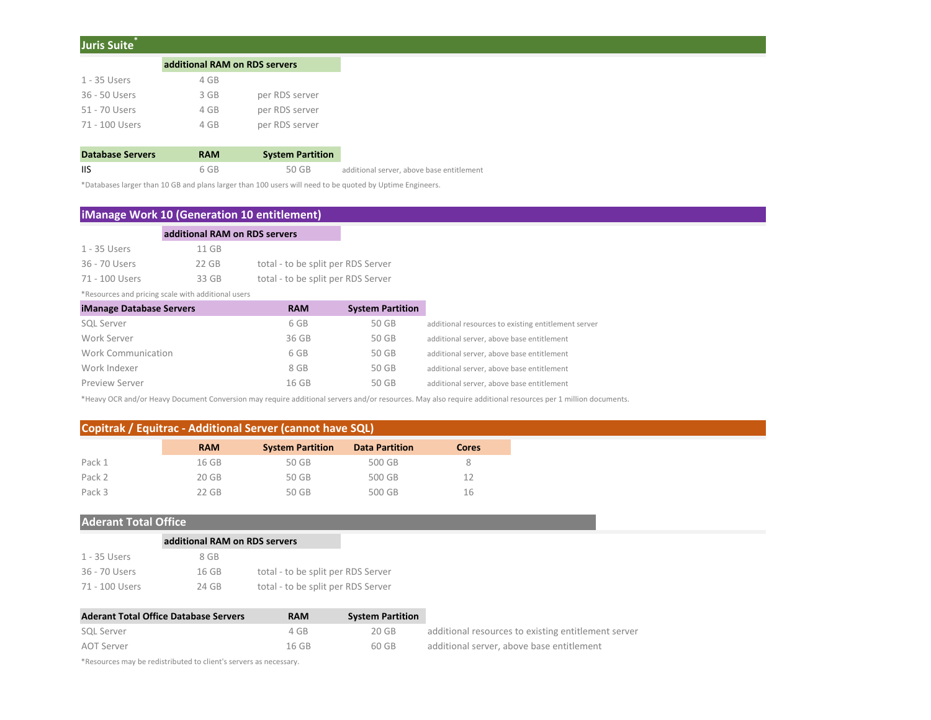### **Juris Suite\***

|                | additional RAM on RDS servers |                |  |  |
|----------------|-------------------------------|----------------|--|--|
| 1 - 35 Users   | 4 GB                          |                |  |  |
| 36 - 50 Users  | 3 GB                          | per RDS server |  |  |
| 51 - 70 Users  | 4 GB                          | per RDS server |  |  |
| 71 - 100 Users | 4 GB                          | per RDS server |  |  |
|                |                               |                |  |  |

| <b>Database Servers</b> | <b>RAM</b> | <b>System Partition</b> |                                           |
|-------------------------|------------|-------------------------|-------------------------------------------|
| <b>IIS</b>              | 6 GB       | 50 GB                   | additional server, above base entitlement |

\*Databases larger than 10 GB and plans larger than 100 users will need to be quoted by Uptime Engineers.

### **iManage Work 10 (Generation 10 entitlement)**

| additional RAM on RDS servers |         |                                    |  |  |  |
|-------------------------------|---------|------------------------------------|--|--|--|
| 1 - 35 Users                  | 11 GB   |                                    |  |  |  |
| 36 - 70 Users                 | $22$ GB | total - to be split per RDS Server |  |  |  |
| 71 - 100 Users                | 33 GB   | total - to be split per RDS Server |  |  |  |

\*Resources and pricing scale with additional users

| <b>iManage Database Servers</b> | <b>RAM</b> | <b>System Partition</b> |                                                     |
|---------------------------------|------------|-------------------------|-----------------------------------------------------|
| <b>SQL Server</b>               | 6 GB       | 50 GB                   | additional resources to existing entitlement server |
| Work Server                     | 36 GB      | 50 GB                   | additional server, above base entitlement           |
| Work Communication              | 6 GB       | 50 GB                   | additional server, above base entitlement           |
| Work Indexer                    | 8 GB       | 50 GB                   | additional server, above base entitlement           |
| <b>Preview Server</b>           | 16 GB      | 50 GB                   | additional server, above base entitlement           |

 $\sim$ 

\*Heavy OCR and/or Heavy Document Conversion may require additional servers and/or resources. May also require additional resources per 1 million documents.

## **Copitrak / Equitrac - Additional Server (cannot have SQL)**

|        | <b>RAM</b> | <b>System Partition</b> | <b>Data Partition</b> | <b>Cores</b> |
|--------|------------|-------------------------|-----------------------|--------------|
| Pack 1 | 16 GB      | 50 GB                   | 500 GB                | 8            |
| Pack 2 | 20 GB      | 50 GB                   | 500 GB                | 12           |
| Pack 3 | 22 GB      | 50 GB                   | 500 GB                | 16           |

### **Aderant Total Office**

|                | additional RAM on RDS servers |                                    |  |
|----------------|-------------------------------|------------------------------------|--|
| 1 - 35 Users   | 8 GB                          |                                    |  |
| 36 - 70 Users  | 16 GB                         | total - to be split per RDS Server |  |
| 71 - 100 Users | 24 GB                         | total - to be split per RDS Server |  |

| <b>Aderant Total Office Database Servers</b> | <b>RAM</b> | <b>System Partition</b> |                                                     |
|----------------------------------------------|------------|-------------------------|-----------------------------------------------------|
| SQL Server                                   | 4 GB       | 20 GB                   | additional resources to existing entitlement server |
| AOT Server                                   | 16 GB      | 60 GB                   | additional server, above base entitlement           |

\*Resources may be redistributed to client's servers as necessary.